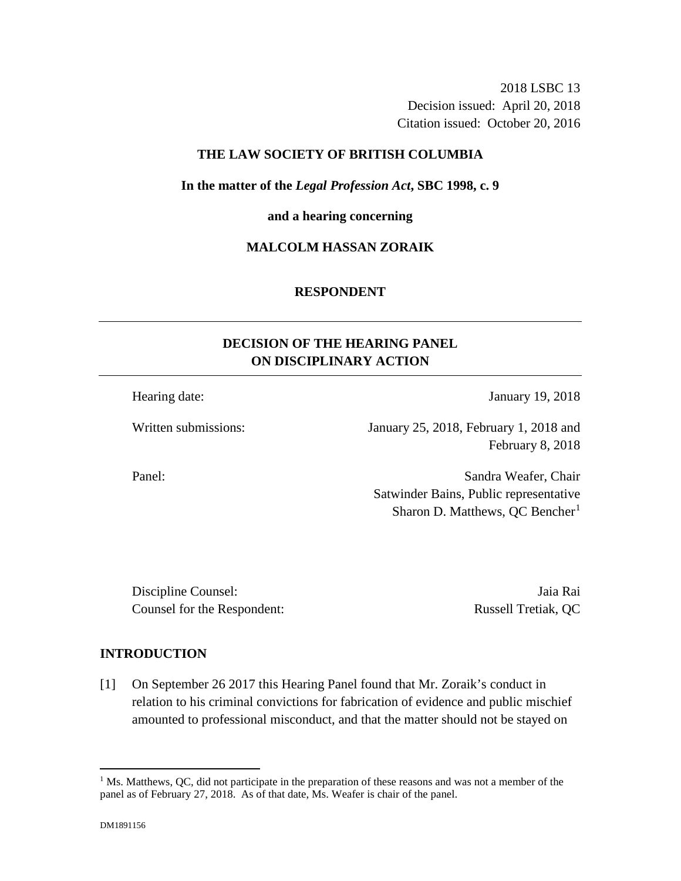2018 LSBC 13 Decision issued: April 20, 2018 Citation issued: October 20, 2016

## **THE LAW SOCIETY OF BRITISH COLUMBIA**

**In the matter of the** *Legal Profession Act***, SBC 1998, c. 9** 

**and a hearing concerning**

## **MALCOLM HASSAN ZORAIK**

### **RESPONDENT**

# **DECISION OF THE HEARING PANEL ON DISCIPLINARY ACTION**

Hearing date: January 19, 2018

Written submissions: January 25, 2018, February 1, 2018 and February 8, 2018

Panel: Sandra Weafer, Chair Satwinder Bains, Public representative Sharon D. Matthews,  $QC$  Bencher<sup>1</sup>

Discipline Counsel: Jaia Rai Counsel for the Respondent: Russell Tretiak, QC

## **INTRODUCTION**

[1] On September 26 2017 this Hearing Panel found that Mr. Zoraik's conduct in relation to his criminal convictions for fabrication of evidence and public mischief amounted to professional misconduct, and that the matter should not be stayed on

 $\overline{a}$ 

<sup>&</sup>lt;sup>1</sup> Ms. Matthews, QC, did not participate in the preparation of these reasons and was not a member of the panel as of February 27, 2018. As of that date, Ms. Weafer is chair of the panel.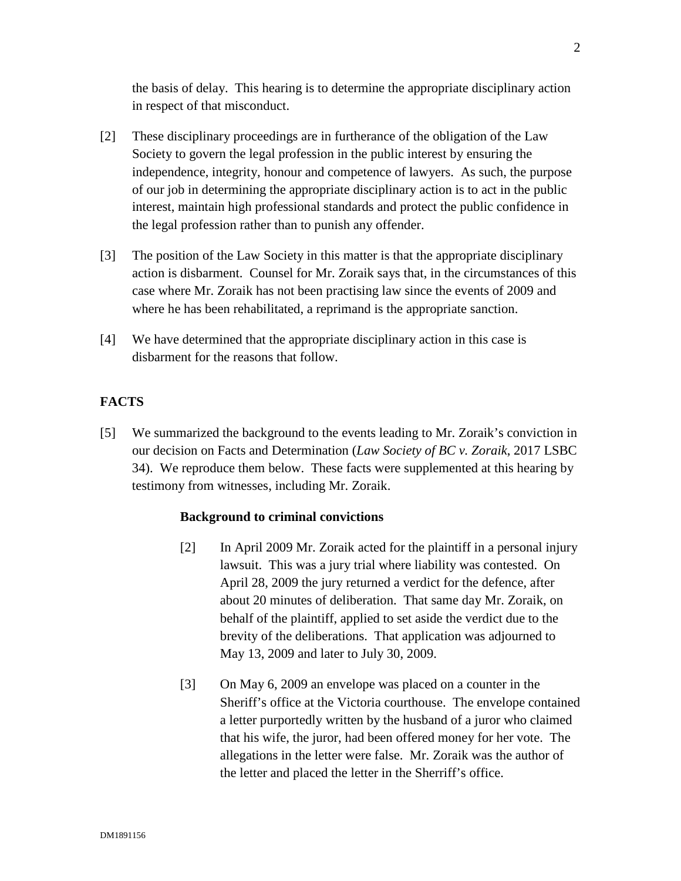the basis of delay. This hearing is to determine the appropriate disciplinary action in respect of that misconduct.

- [2] These disciplinary proceedings are in furtherance of the obligation of the Law Society to govern the legal profession in the public interest by ensuring the independence, integrity, honour and competence of lawyers. As such, the purpose of our job in determining the appropriate disciplinary action is to act in the public interest, maintain high professional standards and protect the public confidence in the legal profession rather than to punish any offender.
- [3] The position of the Law Society in this matter is that the appropriate disciplinary action is disbarment. Counsel for Mr. Zoraik says that, in the circumstances of this case where Mr. Zoraik has not been practising law since the events of 2009 and where he has been rehabilitated, a reprimand is the appropriate sanction.
- [4] We have determined that the appropriate disciplinary action in this case is disbarment for the reasons that follow.

# **FACTS**

[5] We summarized the background to the events leading to Mr. Zoraik's conviction in our decision on Facts and Determination (*Law Society of BC v. Zoraik*, 2017 LSBC 34). We reproduce them below. These facts were supplemented at this hearing by testimony from witnesses, including Mr. Zoraik.

## **Background to criminal convictions**

- [2] In April 2009 Mr. Zoraik acted for the plaintiff in a personal injury lawsuit. This was a jury trial where liability was contested. On April 28, 2009 the jury returned a verdict for the defence, after about 20 minutes of deliberation. That same day Mr. Zoraik, on behalf of the plaintiff, applied to set aside the verdict due to the brevity of the deliberations. That application was adjourned to May 13, 2009 and later to July 30, 2009.
- [3] On May 6, 2009 an envelope was placed on a counter in the Sheriff's office at the Victoria courthouse. The envelope contained a letter purportedly written by the husband of a juror who claimed that his wife, the juror, had been offered money for her vote. The allegations in the letter were false. Mr. Zoraik was the author of the letter and placed the letter in the Sherriff's office.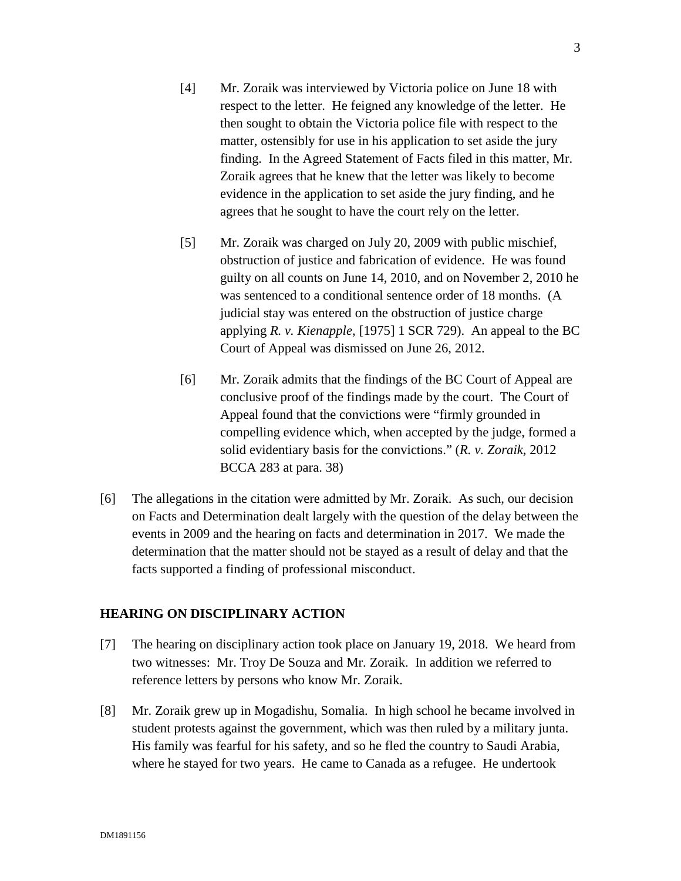- [4] Mr. Zoraik was interviewed by Victoria police on June 18 with respect to the letter. He feigned any knowledge of the letter. He then sought to obtain the Victoria police file with respect to the matter, ostensibly for use in his application to set aside the jury finding. In the Agreed Statement of Facts filed in this matter, Mr. Zoraik agrees that he knew that the letter was likely to become evidence in the application to set aside the jury finding, and he agrees that he sought to have the court rely on the letter.
- [5] Mr. Zoraik was charged on July 20, 2009 with public mischief, obstruction of justice and fabrication of evidence. He was found guilty on all counts on June 14, 2010, and on November 2, 2010 he was sentenced to a conditional sentence order of 18 months. (A judicial stay was entered on the obstruction of justice charge applying *R. v. Kienapple*, [1975] 1 SCR 729). An appeal to the BC Court of Appeal was dismissed on June 26, 2012.
- [6] Mr. Zoraik admits that the findings of the BC Court of Appeal are conclusive proof of the findings made by the court. The Court of Appeal found that the convictions were "firmly grounded in compelling evidence which, when accepted by the judge, formed a solid evidentiary basis for the convictions." (*R. v. Zoraik*, 2012 BCCA 283 at para. 38)
- [6] The allegations in the citation were admitted by Mr. Zoraik. As such, our decision on Facts and Determination dealt largely with the question of the delay between the events in 2009 and the hearing on facts and determination in 2017. We made the determination that the matter should not be stayed as a result of delay and that the facts supported a finding of professional misconduct.

### **HEARING ON DISCIPLINARY ACTION**

- [7] The hearing on disciplinary action took place on January 19, 2018. We heard from two witnesses: Mr. Troy De Souza and Mr. Zoraik. In addition we referred to reference letters by persons who know Mr. Zoraik.
- [8] Mr. Zoraik grew up in Mogadishu, Somalia. In high school he became involved in student protests against the government, which was then ruled by a military junta. His family was fearful for his safety, and so he fled the country to Saudi Arabia, where he stayed for two years. He came to Canada as a refugee. He undertook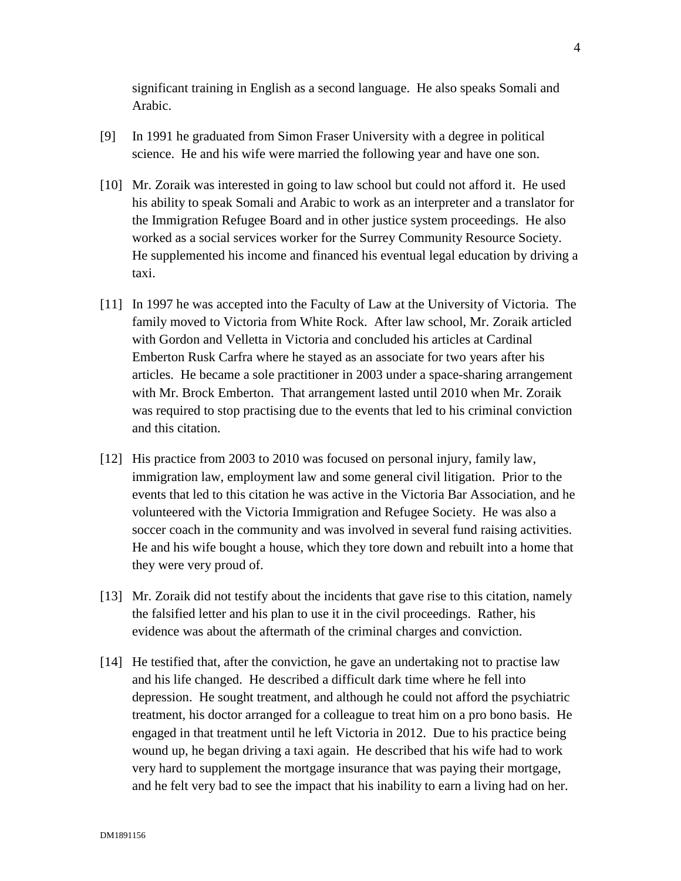significant training in English as a second language. He also speaks Somali and Arabic.

- [9] In 1991 he graduated from Simon Fraser University with a degree in political science. He and his wife were married the following year and have one son.
- [10] Mr. Zoraik was interested in going to law school but could not afford it. He used his ability to speak Somali and Arabic to work as an interpreter and a translator for the Immigration Refugee Board and in other justice system proceedings. He also worked as a social services worker for the Surrey Community Resource Society. He supplemented his income and financed his eventual legal education by driving a taxi.
- [11] In 1997 he was accepted into the Faculty of Law at the University of Victoria. The family moved to Victoria from White Rock. After law school, Mr. Zoraik articled with Gordon and Velletta in Victoria and concluded his articles at Cardinal Emberton Rusk Carfra where he stayed as an associate for two years after his articles. He became a sole practitioner in 2003 under a space-sharing arrangement with Mr. Brock Emberton. That arrangement lasted until 2010 when Mr. Zoraik was required to stop practising due to the events that led to his criminal conviction and this citation.
- [12] His practice from 2003 to 2010 was focused on personal injury, family law, immigration law, employment law and some general civil litigation. Prior to the events that led to this citation he was active in the Victoria Bar Association, and he volunteered with the Victoria Immigration and Refugee Society. He was also a soccer coach in the community and was involved in several fund raising activities. He and his wife bought a house, which they tore down and rebuilt into a home that they were very proud of.
- [13] Mr. Zoraik did not testify about the incidents that gave rise to this citation, namely the falsified letter and his plan to use it in the civil proceedings. Rather, his evidence was about the aftermath of the criminal charges and conviction.
- [14] He testified that, after the conviction, he gave an undertaking not to practise law and his life changed. He described a difficult dark time where he fell into depression. He sought treatment, and although he could not afford the psychiatric treatment, his doctor arranged for a colleague to treat him on a pro bono basis. He engaged in that treatment until he left Victoria in 2012. Due to his practice being wound up, he began driving a taxi again. He described that his wife had to work very hard to supplement the mortgage insurance that was paying their mortgage, and he felt very bad to see the impact that his inability to earn a living had on her.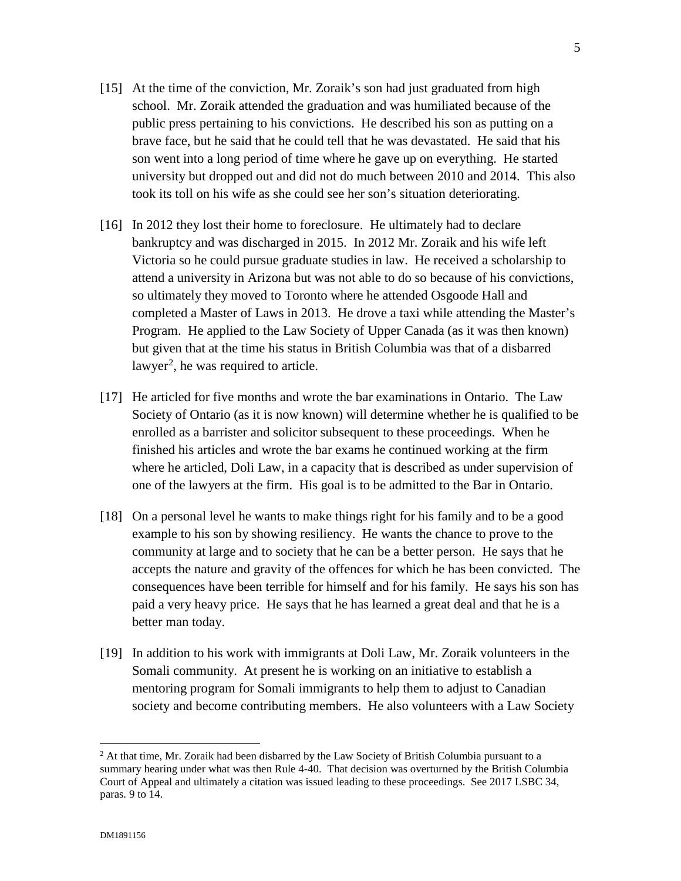5

- [15] At the time of the conviction, Mr. Zoraik's son had just graduated from high school. Mr. Zoraik attended the graduation and was humiliated because of the public press pertaining to his convictions. He described his son as putting on a brave face, but he said that he could tell that he was devastated. He said that his son went into a long period of time where he gave up on everything. He started university but dropped out and did not do much between 2010 and 2014. This also took its toll on his wife as she could see her son's situation deteriorating.
- [16] In 2012 they lost their home to foreclosure. He ultimately had to declare bankruptcy and was discharged in 2015. In 2012 Mr. Zoraik and his wife left Victoria so he could pursue graduate studies in law. He received a scholarship to attend a university in Arizona but was not able to do so because of his convictions, so ultimately they moved to Toronto where he attended Osgoode Hall and completed a Master of Laws in 2013. He drove a taxi while attending the Master's Program. He applied to the Law Society of Upper Canada (as it was then known) but given that at the time his status in British Columbia was that of a disbarred lawyer<sup>2</sup>, he was required to article.
- [17] He articled for five months and wrote the bar examinations in Ontario. The Law Society of Ontario (as it is now known) will determine whether he is qualified to be enrolled as a barrister and solicitor subsequent to these proceedings. When he finished his articles and wrote the bar exams he continued working at the firm where he articled, Doli Law, in a capacity that is described as under supervision of one of the lawyers at the firm. His goal is to be admitted to the Bar in Ontario.
- [18] On a personal level he wants to make things right for his family and to be a good example to his son by showing resiliency. He wants the chance to prove to the community at large and to society that he can be a better person. He says that he accepts the nature and gravity of the offences for which he has been convicted. The consequences have been terrible for himself and for his family. He says his son has paid a very heavy price. He says that he has learned a great deal and that he is a better man today.
- [19] In addition to his work with immigrants at Doli Law, Mr. Zoraik volunteers in the Somali community. At present he is working on an initiative to establish a mentoring program for Somali immigrants to help them to adjust to Canadian society and become contributing members. He also volunteers with a Law Society

 $\overline{a}$ 

 $<sup>2</sup>$  At that time, Mr. Zoraik had been disbarred by the Law Society of British Columbia pursuant to a</sup> summary hearing under what was then Rule 4-40. That decision was overturned by the British Columbia Court of Appeal and ultimately a citation was issued leading to these proceedings. See 2017 LSBC 34, paras. 9 to 14.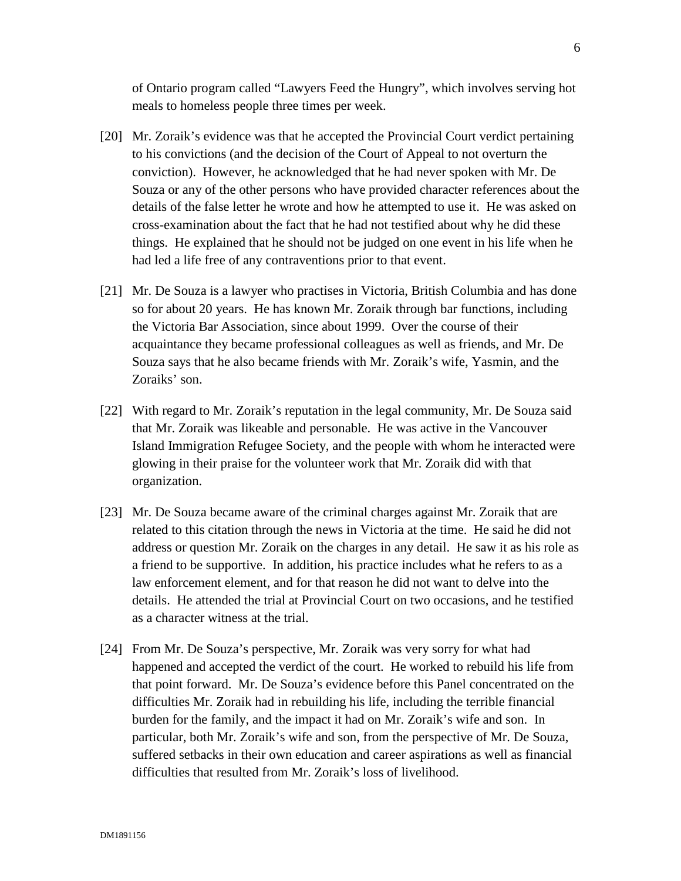of Ontario program called "Lawyers Feed the Hungry", which involves serving hot meals to homeless people three times per week.

- [20] Mr. Zoraik's evidence was that he accepted the Provincial Court verdict pertaining to his convictions (and the decision of the Court of Appeal to not overturn the conviction). However, he acknowledged that he had never spoken with Mr. De Souza or any of the other persons who have provided character references about the details of the false letter he wrote and how he attempted to use it. He was asked on cross-examination about the fact that he had not testified about why he did these things. He explained that he should not be judged on one event in his life when he had led a life free of any contraventions prior to that event.
- [21] Mr. De Souza is a lawyer who practises in Victoria, British Columbia and has done so for about 20 years. He has known Mr. Zoraik through bar functions, including the Victoria Bar Association, since about 1999. Over the course of their acquaintance they became professional colleagues as well as friends, and Mr. De Souza says that he also became friends with Mr. Zoraik's wife, Yasmin, and the Zoraiks' son.
- [22] With regard to Mr. Zoraik's reputation in the legal community, Mr. De Souza said that Mr. Zoraik was likeable and personable. He was active in the Vancouver Island Immigration Refugee Society, and the people with whom he interacted were glowing in their praise for the volunteer work that Mr. Zoraik did with that organization.
- [23] Mr. De Souza became aware of the criminal charges against Mr. Zoraik that are related to this citation through the news in Victoria at the time. He said he did not address or question Mr. Zoraik on the charges in any detail. He saw it as his role as a friend to be supportive. In addition, his practice includes what he refers to as a law enforcement element, and for that reason he did not want to delve into the details. He attended the trial at Provincial Court on two occasions, and he testified as a character witness at the trial.
- [24] From Mr. De Souza's perspective, Mr. Zoraik was very sorry for what had happened and accepted the verdict of the court. He worked to rebuild his life from that point forward. Mr. De Souza's evidence before this Panel concentrated on the difficulties Mr. Zoraik had in rebuilding his life, including the terrible financial burden for the family, and the impact it had on Mr. Zoraik's wife and son. In particular, both Mr. Zoraik's wife and son, from the perspective of Mr. De Souza, suffered setbacks in their own education and career aspirations as well as financial difficulties that resulted from Mr. Zoraik's loss of livelihood.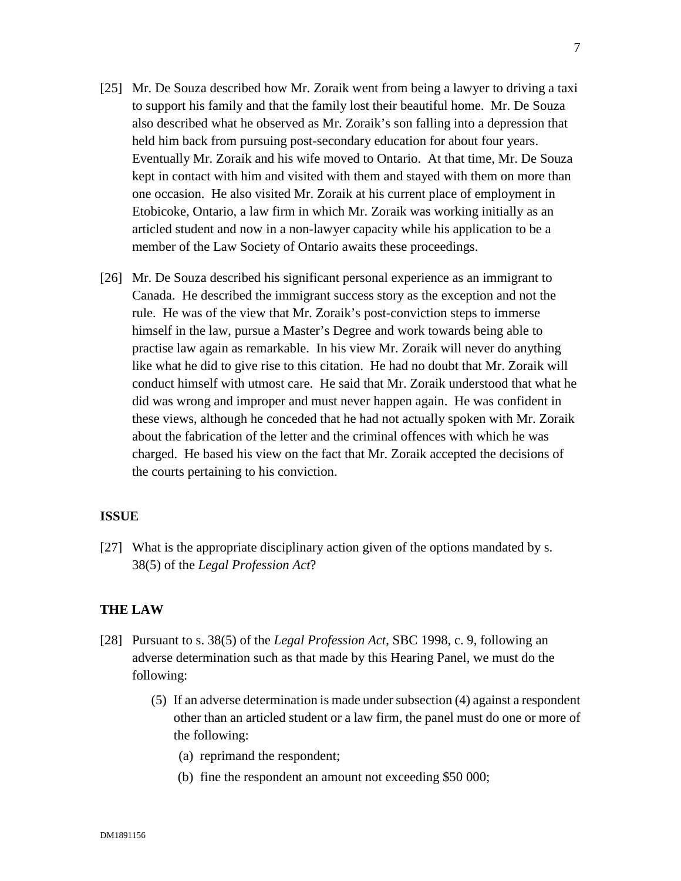- [25] Mr. De Souza described how Mr. Zoraik went from being a lawyer to driving a taxi to support his family and that the family lost their beautiful home. Mr. De Souza also described what he observed as Mr. Zoraik's son falling into a depression that held him back from pursuing post-secondary education for about four years. Eventually Mr. Zoraik and his wife moved to Ontario. At that time, Mr. De Souza kept in contact with him and visited with them and stayed with them on more than one occasion. He also visited Mr. Zoraik at his current place of employment in Etobicoke, Ontario, a law firm in which Mr. Zoraik was working initially as an articled student and now in a non-lawyer capacity while his application to be a member of the Law Society of Ontario awaits these proceedings.
- [26] Mr. De Souza described his significant personal experience as an immigrant to Canada. He described the immigrant success story as the exception and not the rule. He was of the view that Mr. Zoraik's post-conviction steps to immerse himself in the law, pursue a Master's Degree and work towards being able to practise law again as remarkable. In his view Mr. Zoraik will never do anything like what he did to give rise to this citation. He had no doubt that Mr. Zoraik will conduct himself with utmost care. He said that Mr. Zoraik understood that what he did was wrong and improper and must never happen again. He was confident in these views, although he conceded that he had not actually spoken with Mr. Zoraik about the fabrication of the letter and the criminal offences with which he was charged. He based his view on the fact that Mr. Zoraik accepted the decisions of the courts pertaining to his conviction.

## **ISSUE**

[27] What is the appropriate disciplinary action given of the options mandated by s. 38(5) of the *Legal Profession Act*?

#### **THE LAW**

- [28] Pursuant to s. 38(5) of the *Legal Profession Act*, SBC 1998, c. 9, following an adverse determination such as that made by this Hearing Panel, we must do the following:
	- (5) If an adverse determination is made under subsection (4) against a respondent other than an articled student or a law firm, the panel must do one or more of the following:
		- (a) reprimand the respondent;
		- (b) fine the respondent an amount not exceeding \$50 000;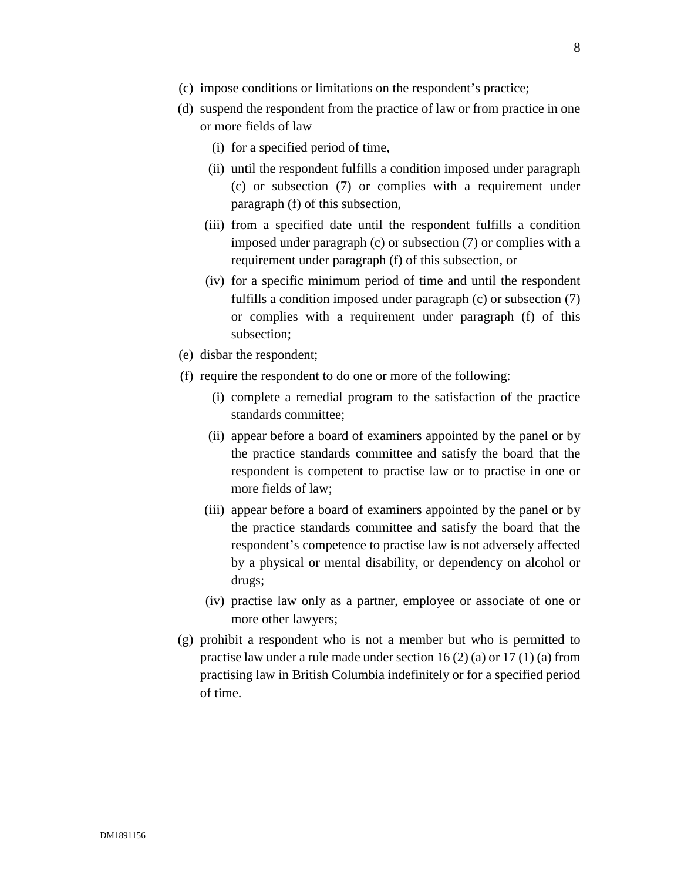- (c) impose conditions or limitations on the respondent's practice;
- (d) suspend the respondent from the practice of law or from practice in one or more fields of law
	- (i) for a specified period of time,
	- (ii) until the respondent fulfills a condition imposed under paragraph (c) or subsection (7) or complies with a requirement under paragraph (f) of this subsection,
	- (iii) from a specified date until the respondent fulfills a condition imposed under paragraph (c) or subsection (7) or complies with a requirement under paragraph (f) of this subsection, or
	- (iv) for a specific minimum period of time and until the respondent fulfills a condition imposed under paragraph (c) or subsection (7) or complies with a requirement under paragraph (f) of this subsection;
- (e) disbar the respondent;
- (f) require the respondent to do one or more of the following:
	- (i) complete a remedial program to the satisfaction of the practice standards committee;
	- (ii) appear before a board of examiners appointed by the panel or by the practice standards committee and satisfy the board that the respondent is competent to practise law or to practise in one or more fields of law;
	- (iii) appear before a board of examiners appointed by the panel or by the practice standards committee and satisfy the board that the respondent's competence to practise law is not adversely affected by a physical or mental disability, or dependency on alcohol or drugs;
	- (iv) practise law only as a partner, employee or associate of one or more other lawyers;
- (g) prohibit a respondent who is not a member but who is permitted to practise law under a rule made under section 16 (2) (a) or 17 (1) (a) from practising law in British Columbia indefinitely or for a specified period of time.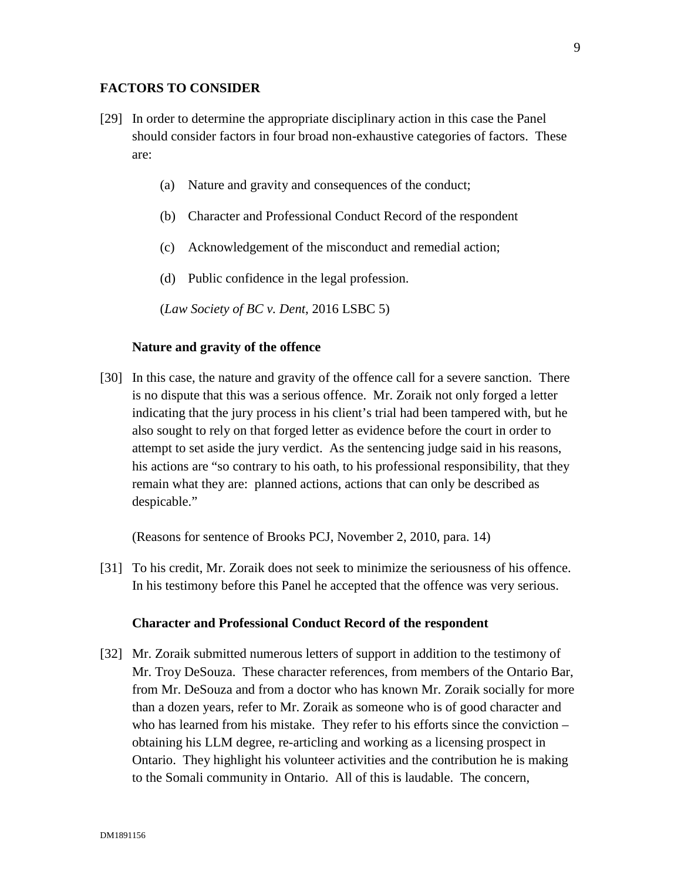#### **FACTORS TO CONSIDER**

- [29] In order to determine the appropriate disciplinary action in this case the Panel should consider factors in four broad non-exhaustive categories of factors. These are:
	- (a) Nature and gravity and consequences of the conduct;
	- (b) Character and Professional Conduct Record of the respondent
	- (c) Acknowledgement of the misconduct and remedial action;
	- (d) Public confidence in the legal profession.

(*Law Society of BC v. Dent*, 2016 LSBC 5)

#### **Nature and gravity of the offence**

[30] In this case, the nature and gravity of the offence call for a severe sanction. There is no dispute that this was a serious offence. Mr. Zoraik not only forged a letter indicating that the jury process in his client's trial had been tampered with, but he also sought to rely on that forged letter as evidence before the court in order to attempt to set aside the jury verdict. As the sentencing judge said in his reasons, his actions are "so contrary to his oath, to his professional responsibility, that they remain what they are: planned actions, actions that can only be described as despicable."

(Reasons for sentence of Brooks PCJ, November 2, 2010, para. 14)

[31] To his credit, Mr. Zoraik does not seek to minimize the seriousness of his offence. In his testimony before this Panel he accepted that the offence was very serious.

#### **Character and Professional Conduct Record of the respondent**

[32] Mr. Zoraik submitted numerous letters of support in addition to the testimony of Mr. Troy DeSouza. These character references, from members of the Ontario Bar, from Mr. DeSouza and from a doctor who has known Mr. Zoraik socially for more than a dozen years, refer to Mr. Zoraik as someone who is of good character and who has learned from his mistake. They refer to his efforts since the conviction – obtaining his LLM degree, re-articling and working as a licensing prospect in Ontario. They highlight his volunteer activities and the contribution he is making to the Somali community in Ontario. All of this is laudable. The concern,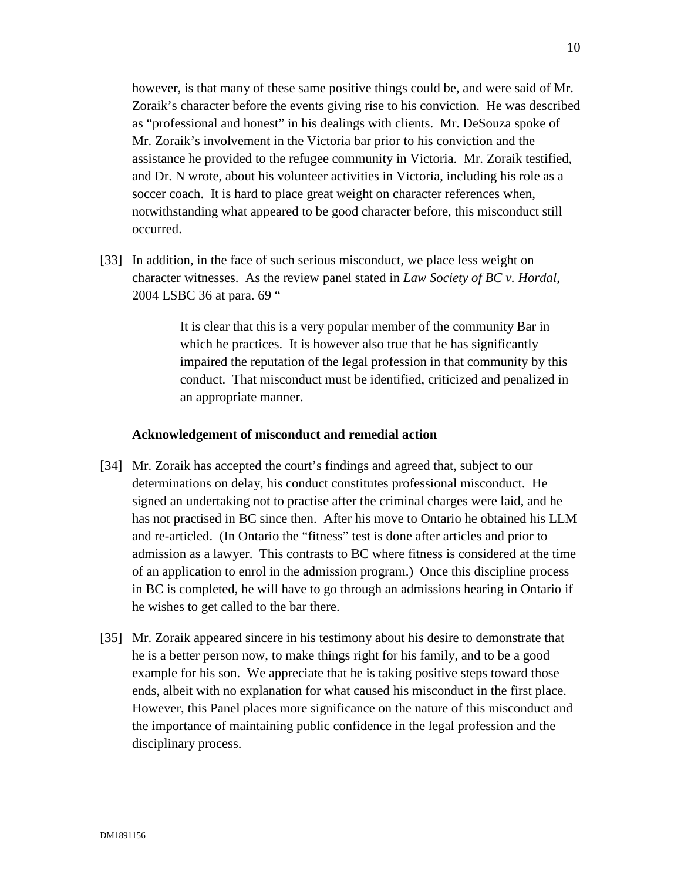however, is that many of these same positive things could be, and were said of Mr. Zoraik's character before the events giving rise to his conviction. He was described as "professional and honest" in his dealings with clients. Mr. DeSouza spoke of Mr. Zoraik's involvement in the Victoria bar prior to his conviction and the assistance he provided to the refugee community in Victoria. Mr. Zoraik testified, and Dr. N wrote, about his volunteer activities in Victoria, including his role as a soccer coach. It is hard to place great weight on character references when, notwithstanding what appeared to be good character before, this misconduct still occurred.

[33] In addition, in the face of such serious misconduct, we place less weight on character witnesses. As the review panel stated in *Law Society of BC v. Hordal*, 2004 LSBC 36 at para. 69 "

> It is clear that this is a very popular member of the community Bar in which he practices. It is however also true that he has significantly impaired the reputation of the legal profession in that community by this conduct. That misconduct must be identified, criticized and penalized in an appropriate manner.

#### **Acknowledgement of misconduct and remedial action**

- [34] Mr. Zoraik has accepted the court's findings and agreed that, subject to our determinations on delay, his conduct constitutes professional misconduct. He signed an undertaking not to practise after the criminal charges were laid, and he has not practised in BC since then. After his move to Ontario he obtained his LLM and re-articled. (In Ontario the "fitness" test is done after articles and prior to admission as a lawyer. This contrasts to BC where fitness is considered at the time of an application to enrol in the admission program.) Once this discipline process in BC is completed, he will have to go through an admissions hearing in Ontario if he wishes to get called to the bar there.
- [35] Mr. Zoraik appeared sincere in his testimony about his desire to demonstrate that he is a better person now, to make things right for his family, and to be a good example for his son. We appreciate that he is taking positive steps toward those ends, albeit with no explanation for what caused his misconduct in the first place. However, this Panel places more significance on the nature of this misconduct and the importance of maintaining public confidence in the legal profession and the disciplinary process.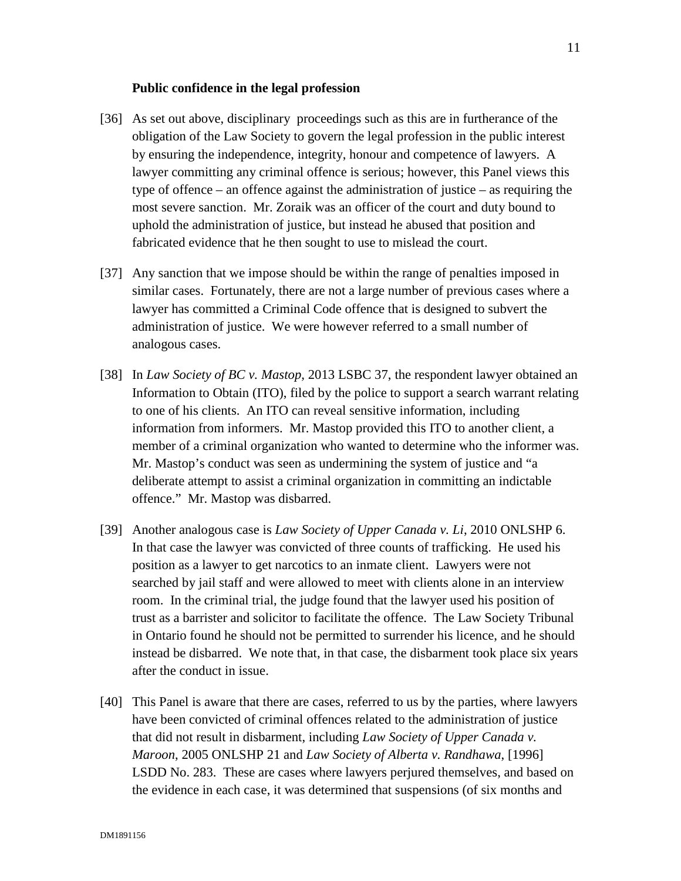#### **Public confidence in the legal profession**

- [36] As set out above, disciplinary proceedings such as this are in furtherance of the obligation of the Law Society to govern the legal profession in the public interest by ensuring the independence, integrity, honour and competence of lawyers. A lawyer committing any criminal offence is serious; however, this Panel views this type of offence – an offence against the administration of justice – as requiring the most severe sanction. Mr. Zoraik was an officer of the court and duty bound to uphold the administration of justice, but instead he abused that position and fabricated evidence that he then sought to use to mislead the court.
- [37] Any sanction that we impose should be within the range of penalties imposed in similar cases. Fortunately, there are not a large number of previous cases where a lawyer has committed a Criminal Code offence that is designed to subvert the administration of justice. We were however referred to a small number of analogous cases.
- [38] In *Law Society of BC v. Mastop*, 2013 LSBC 37, the respondent lawyer obtained an Information to Obtain (ITO), filed by the police to support a search warrant relating to one of his clients. An ITO can reveal sensitive information, including information from informers. Mr. Mastop provided this ITO to another client, a member of a criminal organization who wanted to determine who the informer was. Mr. Mastop's conduct was seen as undermining the system of justice and "a deliberate attempt to assist a criminal organization in committing an indictable offence." Mr. Mastop was disbarred.
- [39] Another analogous case is *Law Society of Upper Canada v. Li*, 2010 ONLSHP 6. In that case the lawyer was convicted of three counts of trafficking. He used his position as a lawyer to get narcotics to an inmate client. Lawyers were not searched by jail staff and were allowed to meet with clients alone in an interview room. In the criminal trial, the judge found that the lawyer used his position of trust as a barrister and solicitor to facilitate the offence. The Law Society Tribunal in Ontario found he should not be permitted to surrender his licence, and he should instead be disbarred. We note that, in that case, the disbarment took place six years after the conduct in issue.
- [40] This Panel is aware that there are cases, referred to us by the parties, where lawyers have been convicted of criminal offences related to the administration of justice that did not result in disbarment, including *Law Society of Upper Canada v. Maroon*, 2005 ONLSHP 21 and *Law Society of Alberta v. Randhawa*, [1996] LSDD No. 283. These are cases where lawyers perjured themselves, and based on the evidence in each case, it was determined that suspensions (of six months and